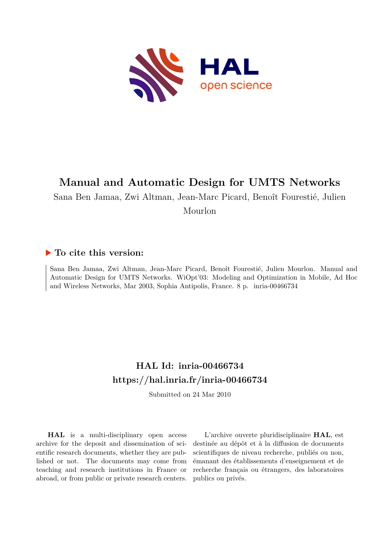

# **Manual and Automatic Design for UMTS Networks**

Sana Ben Jamaa, Zwi Altman, Jean-Marc Picard, Benoît Fourestié, Julien

Mourlon

# **To cite this version:**

Sana Ben Jamaa, Zwi Altman, Jean-Marc Picard, Benoît Fourestié, Julien Mourlon. Manual and Automatic Design for UMTS Networks. WiOpt'03: Modeling and Optimization in Mobile, Ad Hoc and Wireless Networks, Mar 2003, Sophia Antipolis, France. 8 p. inria-00466734

# **HAL Id: inria-00466734 <https://hal.inria.fr/inria-00466734>**

Submitted on 24 Mar 2010

**HAL** is a multi-disciplinary open access archive for the deposit and dissemination of scientific research documents, whether they are published or not. The documents may come from teaching and research institutions in France or abroad, or from public or private research centers.

L'archive ouverte pluridisciplinaire **HAL**, est destinée au dépôt et à la diffusion de documents scientifiques de niveau recherche, publiés ou non, émanant des établissements d'enseignement et de recherche français ou étrangers, des laboratoires publics ou privés.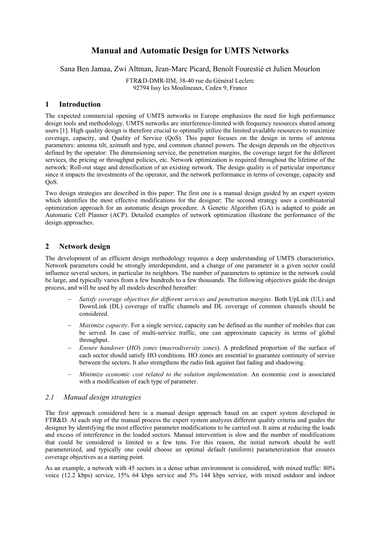# **Manual and Automatic Design for UMTS Networks**

Sana Ben Jamaa, Zwi Altman, Jean-Marc Picard, Benoît Fourestié et Julien Mourlon

FTR&D-DMR-IIM, 38-40 rue du Général Leclerc 92794 Issy les Moulineaux, Cedex 9, France

## **1 Introduction**

The expected commercial opening of UMTS networks in Europe emphasizes the need for high performance design tools and methodology. UMTS networks are interference-limited with frequency resources shared among users [1]. High quality design is therefore crucial to optimally utilize the limited available resources to maximize coverage, capacity, and Quality of Service (QoS). This paper focuses on the design in terms of antenna parameters: antenna tilt, azimuth and type, and common channel powers. The design depends on the objectives defined by the operator: The dimensioning service, the penetration margins, the coverage target for the different services, the pricing or throughput policies, etc. Network optimization is required throughout the lifetime of the network: Roll-out stage and densification of an existing network. The design quality is of particular importance since it impacts the investments of the operator, and the network performance in terms of coverage, capacity and QoS.

Two design strategies are described in this paper: The first one is a manual design guided by an expert system which identifies the most effective modifications for the designer; The second strategy uses a combinatorial optimization approach for an automatic design procedure. A Genetic Algorithm (GA) is adapted to guide an Automatic Cell Planner (ACP). Detailed examples of network optimization illustrate the performance of the design approaches.

## **2 Network design**

The development of an efficient design methodology requires a deep understanding of UMTS characteristics. Network parameters could be strongly interdependent, and a change of one parameter in a given sector could influence several sectors, in particular its neighbors. The number of parameters to optimize in the network could be large, and typically varies from a few hundreds to a few thousands. The following objectives guide the design process, and will be used by all models described hereafter:

- − *Satisfy coverage objectives for different services and penetration margins*. Both UpLink (UL) and DownLink (DL) coverage of traffic channels and DL coverage of common channels should be considered.
- *Maximize capacity*. For a single service, capacity can be defined as the number of mobiles that can be served. In case of multi-service traffic, one can approximate capacity in terms of global throughput.
- − *Ensure handover* (*HO*) *zones* (*macrodiversity zones*). A predefined proportion of the surface of each sector should satisfy HO conditions. HO zones are essential to guarantee continuity of service between the sectors. It also strengthens the radio link against fast fading and shadowing.
- − *Minimize economic cost related to the solution implementation*. An economic cost is associated with a modification of each type of parameter.

### *2.1 Manual design strategies*

The first approach considered here is a manual design approach based on an expert system developed in FTR&D. At each step of the manual process the expert system analyzes different quality criteria and guides the designer by identifying the most effective parameter modifications to be carried out. It aims at reducing the loads and excess of interference in the loaded sectors. Manual intervention is slow and the number of modifications that could be considered is limited to a few tens. For this reason, the initial network should be well parameterized, and typically one could choose an optimal default (uniform) parameterization that ensures coverage objectives as a starting point.

As an example, a network with 45 sectors in a dense urban environment is considered, with mixed traffic: 80% voice (12.2 kbps) service, 15% 64 kbps service and 5% 144 kbps service, with mixed outdoor and indoor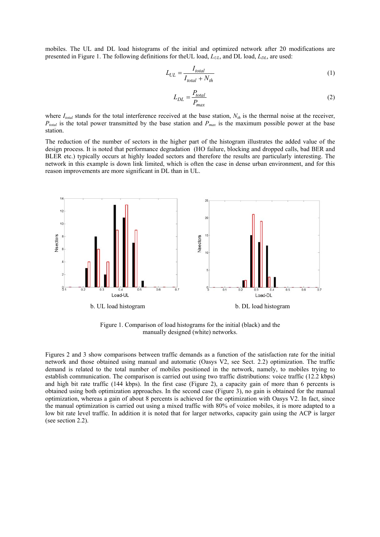mobiles. The UL and DL load histograms of the initial and optimized network after 20 modifications are presented in Figure 1. The following definitions for the UL load,  $L_{UL}$ , and DL load,  $L_{DL}$ , are used:

$$
L_{UL} = \frac{I_{total}}{I_{total} + N_{th}}
$$
 (1)

$$
L_{DL} = \frac{P_{total}}{P_{max}}\tag{2}
$$

where  $I_{total}$  stands for the total interference received at the base station,  $N_{th}$  is the thermal noise at the receiver, *P<sub>total</sub>* is the total power transmitted by the base station and *P<sub>max</sub>* is the maximum possible power at the base station.

The reduction of the number of sectors in the higher part of the histogram illustrates the added value of the design process. It is noted that performance degradation (HO failure, blocking and dropped calls, bad BER and BLER etc.) typically occurs at highly loaded sectors and therefore the results are particularly interesting. The network in this example is down link limited, which is often the case in dense urban environment, and for this reason improvements are more significant in DL than in UL.



Figure 1. Comparison of load histograms for the initial (black) and the manually designed (white) networks.

Figures 2 and 3 show comparisons between traffic demands as a function of the satisfaction rate for the initial network and those obtained using manual and automatic (Oasys V2, see Sect. 2.2) optimization. The traffic demand is related to the total number of mobiles positioned in the network, namely, to mobiles trying to establish communication. The comparison is carried out using two traffic distributions: voice traffic (12.2 kbps) and high bit rate traffic (144 kbps). In the first case (Figure 2), a capacity gain of more than 6 percents is obtained using both optimization approaches. In the second case (Figure 3), no gain is obtained for the manual optimization, whereas a gain of about 8 percents is achieved for the optimization with Oasys V2. In fact, since the manual optimization is carried out using a mixed traffic with 80% of voice mobiles, it is more adapted to a low bit rate level traffic. In addition it is noted that for larger networks, capacity gain using the ACP is larger (see section 2.2).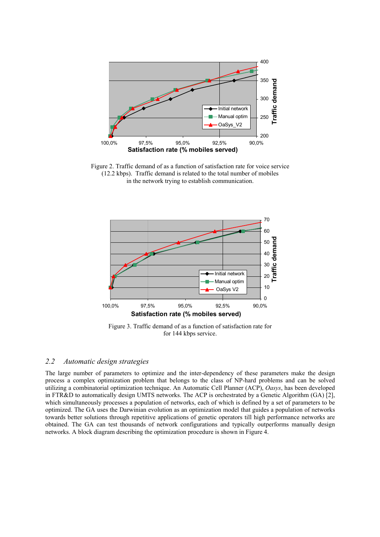

Figure 2. Traffic demand of as a function of satisfaction rate for voice service (12.2 kbps). Traffic demand is related to the total number of mobiles in the network trying to establish communication.



Figure 3. Traffic demand of as a function of satisfaction rate for for 144 kbps service.

### *2.2 Automatic design strategies*

The large number of parameters to optimize and the inter-dependency of these parameters make the design process a complex optimization problem that belongs to the class of NP-hard problems and can be solved utilizing a combinatorial optimization technique. An Automatic Cell Planner (ACP), *Oasys*, has been developed in FTR&D to automatically design UMTS networks. The ACP is orchestrated by a Genetic Algorithm (GA) [2], which simultaneously processes a population of networks, each of which is defined by a set of parameters to be optimized. The GA uses the Darwinian evolution as an optimization model that guides a population of networks towards better solutions through repetitive applications of genetic operators till high performance networks are obtained. The GA can test thousands of network configurations and typically outperforms manually design networks. A block diagram describing the optimization procedure is shown in Figure 4.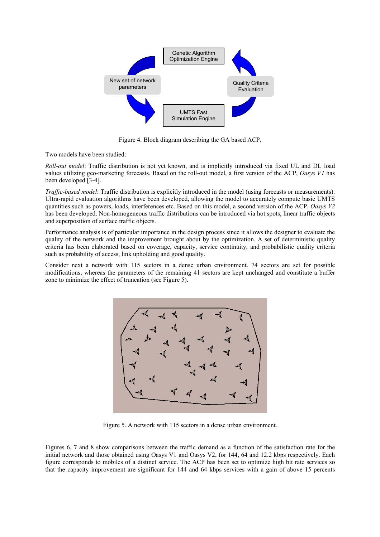

Figure 4. Block diagram describing the GA based ACP.

Two models have been studied:

*Roll-out model*: Traffic distribution is not yet known, and is implicitly introduced via fixed UL and DL load values utilizing geo-marketing forecasts. Based on the roll-out model, a first version of the ACP, *Oasys V1* has been developed [3-4].

*Traffic-based model*: Traffic distribution is explicitly introduced in the model (using forecasts or measurements). Ultra-rapid evaluation algorithms have been developed, allowing the model to accurately compute basic UMTS quantities such as powers, loads, interferences etc. Based on this model, a second version of the ACP, *Oasys V2* has been developed. Non-homogeneous traffic distributions can be introduced via hot spots, linear traffic objects and superposition of surface traffic objects.

Performance analysis is of particular importance in the design process since it allows the designer to evaluate the quality of the network and the improvement brought about by the optimization. A set of deterministic quality criteria has been elaborated based on coverage, capacity, service continuity, and probabilistic quality criteria such as probability of access, link upholding and good quality.

Consider next a network with 115 sectors in a dense urban environment. 74 sectors are set for possible modifications, whereas the parameters of the remaining 41 sectors are kept unchanged and constitute a buffer zone to minimize the effect of truncation (see Figure 5).



Figure 5. A network with 115 sectors in a dense urban environment.

Figures 6, 7 and 8 show comparisons between the traffic demand as a function of the satisfaction rate for the initial network and those obtained using Oasys V1 and Oasys V2, for 144, 64 and 12.2 kbps respectively. Each figure corresponds to mobiles of a distinct service. The ACP has been set to optimize high bit rate services so that the capacity improvement are significant for 144 and 64 kbps services with a gain of above 15 percents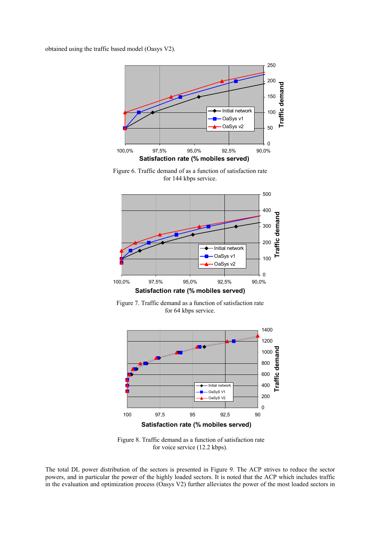obtained using the traffic based model (Oasys V2).



Figure 6. Traffic demand of as a function of satisfaction rate for 144 kbps service.



Figure 7. Traffic demand as a function of satisfaction rate for 64 kbps service.



 Figure 8. Traffic demand as a function of satisfaction rate for voice service (12.2 kbps).

The total DL power distribution of the sectors is presented in Figure 9. The ACP strives to reduce the sector powers, and in particular the power of the highly loaded sectors. It is noted that the ACP which includes traffic in the evaluation and optimization process (Oasys V2) further alleviates the power of the most loaded sectors in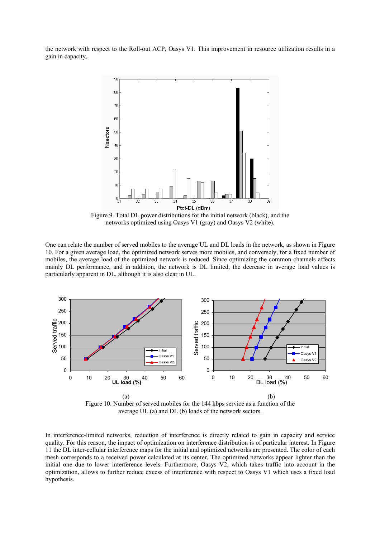the network with respect to the Roll-out ACP, Oasys V1. This improvement in resource utilization results in a gain in capacity.



Figure 9. Total DL power distributions for the initial network (black), and the networks optimized using Oasys V1 (gray) and Oasys V2 (white).

One can relate the number of served mobiles to the average UL and DL loads in the network, as shown in Figure 10. For a given average load, the optimized network serves more mobiles, and conversely, for a fixed number of mobiles, the average load of the optimized network is reduced. Since optimizing the common channels affects mainly DL performance, and in addition, the network is DL limited, the decrease in average load values is particularly apparent in DL, although it is also clear in UL.



Figure 10. Number of served mobiles for the 144 kbps service as a function of the average UL (a) and DL (b) loads of the network sectors.

In interference-limited networks, reduction of interference is directly related to gain in capacity and service quality. For this reason, the impact of optimization on interference distribution is of particular interest. In Figure 11 the DL inter-cellular interference maps for the initial and optimized networks are presented. The color of each mesh corresponds to a received power calculated at its center. The optimized networks appear lighter than the initial one due to lower interference levels. Furthermore, Oasys V2, which takes traffic into account in the optimization, allows to further reduce excess of interference with respect to Oasys V1 which uses a fixed load hypothesis.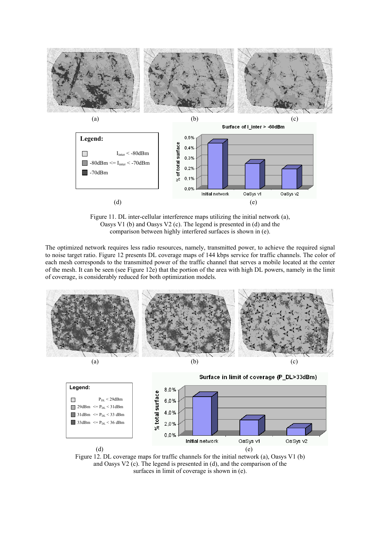

Figure 11. DL inter-cellular interference maps utilizing the initial network (a), Oasys V1 (b) and Oasys V2 (c). The legend is presented in (d) and the comparison between highly interfered surfaces is shown in (e).

The optimized network requires less radio resources, namely, transmitted power, to achieve the required signal to noise target ratio. Figure 12 presents DL coverage maps of 144 kbps service for traffic channels. The color of each mesh corresponds to the transmitted power of the traffic channel that serves a mobile located at the center of the mesh. It can be seen (see Figure 12e) that the portion of the area with high DL powers, namely in the limit of coverage, is considerably reduced for both optimization models.





Figure 12. DL coverage maps for traffic channels for the initial network (a), Oasys V1 (b) and Oasys V2 (c). The legend is presented in (d), and the comparison of the surfaces in limit of coverage is shown in (e).